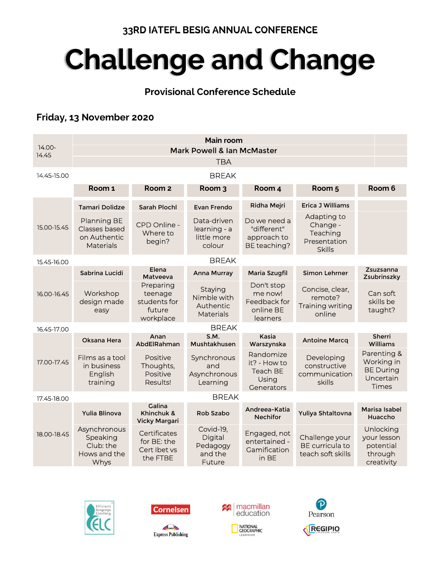### 33RD IATEFL BESIG ANNUAL CONFERENCE

# Challenge and Change

## Provisional Conference Schedule

## Friday, 13 November 2020

|                 |                                                                         |                                                             | Main room                                               |                                                                |                                                                      |                                                                     |
|-----------------|-------------------------------------------------------------------------|-------------------------------------------------------------|---------------------------------------------------------|----------------------------------------------------------------|----------------------------------------------------------------------|---------------------------------------------------------------------|
| 14.00-<br>14.45 |                                                                         |                                                             | <b>Mark Powell &amp; Ian McMaster</b>                   |                                                                |                                                                      |                                                                     |
|                 |                                                                         |                                                             | <b>TBA</b>                                              |                                                                |                                                                      |                                                                     |
| 14.45-15.00     |                                                                         |                                                             | <b>BREAK</b>                                            |                                                                |                                                                      |                                                                     |
|                 | Room 1                                                                  | Room <sub>2</sub>                                           | Room 3                                                  | Room 4                                                         | Room <sub>5</sub>                                                    | Room 6                                                              |
|                 | <b>Tamari Dolidze</b>                                                   | <b>Sarah Plochl</b>                                         | Evan Frendo                                             | Ridha Mejri                                                    | <b>Erica J Williams</b>                                              |                                                                     |
| 15.00-15.45     | Planning BE<br><b>Classes based</b><br>on Authentic<br><b>Materials</b> | CPD Online -<br>Where to<br>begin?                          | Data-driven<br>learning - a<br>little more<br>colour    | Do we need a<br>"different"<br>approach to<br>BE teaching?     | Adapting to<br>Change -<br>Teaching<br>Presentation<br><b>Skills</b> |                                                                     |
| 15.45-16.00     |                                                                         |                                                             | <b>BREAK</b>                                            |                                                                |                                                                      |                                                                     |
|                 | Sabrina Lucidi                                                          | Elena<br>Matyeeva                                           | Anna Murray                                             | Maria Szugfil                                                  | Simon Lehrner                                                        | Zsuzsanna<br>Zsubrinszky                                            |
| 16.00-16.45     | Workshop<br>design made<br>easy                                         | Preparing<br>teenage<br>students for<br>future<br>workplace | Staying<br>Nimble with<br>Authentic<br><b>Materials</b> | Don't stop<br>me now!<br>Feedback for<br>online BE<br>learners | Concise, clear,<br>remote?<br><b>Training writing</b><br>online      | Can soft<br>skills be<br>taught?                                    |
| 16.45-17.00     |                                                                         |                                                             | <b>BREAK</b>                                            |                                                                |                                                                      |                                                                     |
|                 | Oksana Hera                                                             | Anan<br>AbdElRahman                                         | S.M.<br>Mushtakhusen                                    | Kasia<br>Warszynska                                            | <b>Antoine Marcq</b>                                                 | Sherri<br>Williams                                                  |
| 17.00-17.45     | Films as a tool<br>in business<br>English<br>training                   | Positive<br>Thoughts,<br>Positive<br>Results!               | Synchronous<br>and<br>Asynchronous<br>Learning          | Randomize<br>it? - How to<br>Teach BE<br>Using<br>Generators   | Developing<br>constructive<br>communication<br>skills                | Parenting &<br>Working in<br><b>BE During</b><br>Uncertain<br>Times |
| 17.45-18.00     |                                                                         |                                                             | <b>BREAK</b>                                            |                                                                |                                                                      |                                                                     |
|                 | Yulia Blinova                                                           | Galina<br>Khinchuk &<br><b>Vicky Margari</b>                | Rob Szabo                                               | Andreea-Katia<br><b>Nechifor</b>                               | Yuliya Shtaltovna                                                    | Marisa Isabel<br>Huaccho                                            |
| 18.00-18.45     | Asynchronous<br>Speaking<br>Club: the<br>Hows and the<br>Whys           | Certificates<br>for BE: the<br>Cert Ibet vs<br>the FTBE     | Covid-19,<br>Digital<br>Pedagogy<br>and the<br>Future   | Engaged, not<br>entertained -<br>Gamification<br>in BE         | Challenge your<br>BE curricula to<br>teach soft skills               | Unlocking<br>your lesson<br>potential<br>through<br>creativity      |





 $\sqrt{2}$ 

**Express Publishing** 



NATIONAL<br>GEOGRAPHIC

LEARNING



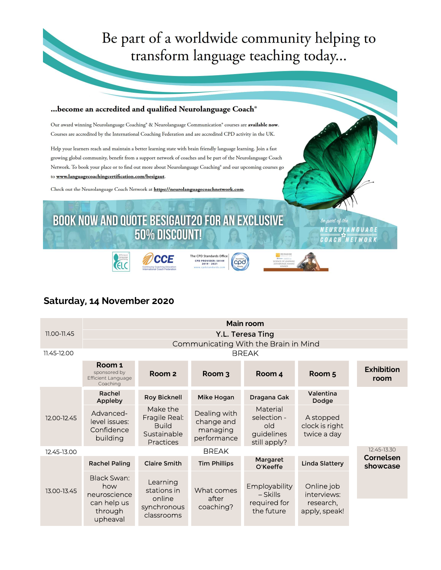## Be part of a worldwide community helping to transform language teaching today...



### Saturday, 14 November 2020

|                 |                                                                 |                                                                              |                                                       | Main room                                                    |                                            |                           |  |
|-----------------|-----------------------------------------------------------------|------------------------------------------------------------------------------|-------------------------------------------------------|--------------------------------------------------------------|--------------------------------------------|---------------------------|--|
| $11.00 - 11.45$ |                                                                 |                                                                              |                                                       | Y.L. Teresa Ting                                             |                                            |                           |  |
|                 |                                                                 |                                                                              |                                                       | Communicating With the Brain in Mind                         |                                            |                           |  |
| 11.45-12.00     |                                                                 |                                                                              |                                                       | <b>BREAK</b>                                                 |                                            |                           |  |
|                 | Room 1<br>sponsored by<br><b>Efficient Language</b><br>Coaching | Room <sub>2</sub>                                                            | Room 3                                                | Room 4                                                       | Room 5                                     | <b>Exhibition</b><br>room |  |
|                 | Rachel<br>Appleby                                               | <b>Roy Bicknell</b>                                                          | Mike Hogan                                            | Dragana Gak                                                  | Valentina<br>Dodge                         |                           |  |
| 12.00-12.45     | Advanced-<br>level issues:<br>Confidence<br>building            | Make the<br>Fragile Real:<br><b>Build</b><br>Sustainable<br><b>Practices</b> | Dealing with<br>change and<br>managing<br>performance | Material<br>selection -<br>old<br>guidelines<br>still apply? | A stopped<br>clock is right<br>twice a day |                           |  |
| 12.45-13.00     |                                                                 |                                                                              | 12.45-13.30                                           |                                                              |                                            |                           |  |
| 13.00-13.45     | <b>Rachel Paling</b>                                            | <b>Claire Smith</b>                                                          | <b>Tim Phillips</b>                                   | Margaret<br>O'Keeffe                                         | <b>Linda Slattery</b>                      | Cornelsen<br>showcase     |  |
|                 | Black Swan:<br>how<br>neuroscience                              | Learning<br>stations in<br>online                                            | What comes<br>after                                   | <b>Employability</b><br>– Skills                             | Online job<br>interviews:                  |                           |  |
|                 | can help us<br>through<br>upheaval                              | synchronous<br>classrooms                                                    | coaching?                                             | required for<br>the future                                   | research,<br>apply, speak!                 |                           |  |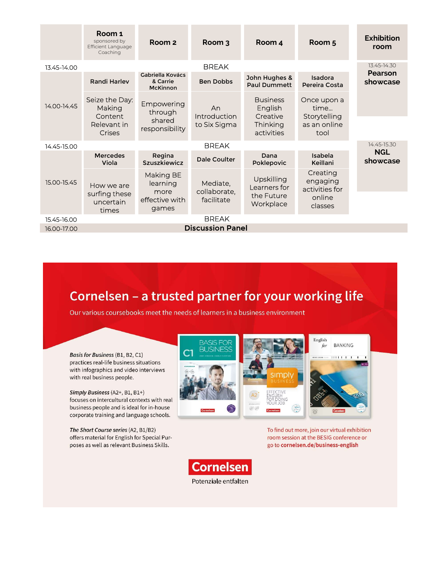|             | Room 1<br>sponsored by<br>Efficient Language<br>Coaching | Room <sub>2</sub>                               | Room 3                   | Room 4                                 | Room <sub>5</sub>                      | <b>Exhibition</b><br>room |
|-------------|----------------------------------------------------------|-------------------------------------------------|--------------------------|----------------------------------------|----------------------------------------|---------------------------|
| 13.45-14.00 |                                                          |                                                 | <b>BREAK</b>             |                                        |                                        | 13.45-14.30               |
|             | <b>Randi Harley</b>                                      | Gabriella Kovács<br>& Carrie<br><b>McKinnon</b> | <b>Ben Dobbs</b>         | John Hughes &<br><b>Paul Dummett</b>   | Isadora<br>Pereira Costa               | Pearson<br>showcase       |
| 14.00-14.45 | Seize the Day:<br>Making<br>Content                      | Empowering<br>through                           | An<br>Introduction       | <b>Business</b><br>English<br>Creative | Once upon a<br>time<br>Storytelling    |                           |
|             | Relevant in<br><b>Crises</b>                             | shared<br>responsibility                        | to Six Sigma             | Thinking<br>activities                 | as an online<br>tool                   |                           |
| 14.45-15.00 |                                                          |                                                 | <b>BREAK</b>             |                                        |                                        | 14.45-15.30               |
| 15.00-15.45 | <b>Mercedes</b><br>Regina<br>Szuszkiewicz<br>Viola       |                                                 | Dale Coulter             | Dana<br>Poklepovic                     | Isabela<br>Keillani                    | <b>NGL</b><br>showcase    |
|             | How we are                                               | Making BE<br>learning<br>more                   | Mediate,<br>collaborate, | Upskilling<br>Learners for             | Creating<br>engaging<br>activities for |                           |
|             | surfing these<br>uncertain<br>times                      | effective with<br>games                         | facilitate               | the Future<br>Workplace                | online<br>classes                      |                           |
| 15.45-16.00 |                                                          |                                                 | <b>BREAK</b>             |                                        |                                        |                           |
| 16.00-17.00 |                                                          |                                                 | <b>Discussion Panel</b>  |                                        |                                        |                           |

## Cornelsen - a trusted partner for your working life

Our various coursebooks meet the needs of learners in a business environment



To find out more, join our virtual exhibition room session at the BESIG conference or go to cornelsen.de/business-english



Basis for Business (B1, B2, C1) practices real-life business situations with infographics and video interviews with real business people.

Simply Business (A2+, B1, B1+) focuses on intercultural contexts with real business people and is ideal for in-house corporate training and language schools.

The Short Course series (A2, B1/B2) offers material for English for Special Purposes as well as relevant Business Skills.